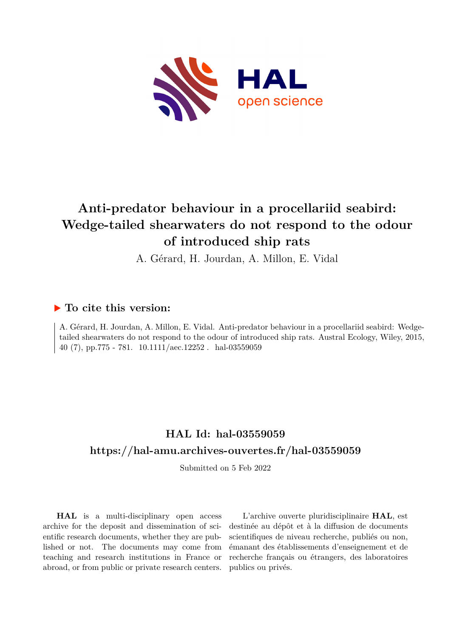

# **Anti-predator behaviour in a procellariid seabird: Wedge-tailed shearwaters do not respond to the odour of introduced ship rats**

A. Gérard, H. Jourdan, A. Millon, E. Vidal

### **To cite this version:**

A. Gérard, H. Jourdan, A. Millon, E. Vidal. Anti-predator behaviour in a procellariid seabird: Wedgetailed shearwaters do not respond to the odour of introduced ship rats. Austral Ecology, Wiley, 2015, 40 (7), pp.775 - 781.  $10.1111/$ aec.12252. hal-03559059

## **HAL Id: hal-03559059 <https://hal-amu.archives-ouvertes.fr/hal-03559059>**

Submitted on 5 Feb 2022

**HAL** is a multi-disciplinary open access archive for the deposit and dissemination of scientific research documents, whether they are published or not. The documents may come from teaching and research institutions in France or abroad, or from public or private research centers.

L'archive ouverte pluridisciplinaire **HAL**, est destinée au dépôt et à la diffusion de documents scientifiques de niveau recherche, publiés ou non, émanant des établissements d'enseignement et de recherche français ou étrangers, des laboratoires publics ou privés.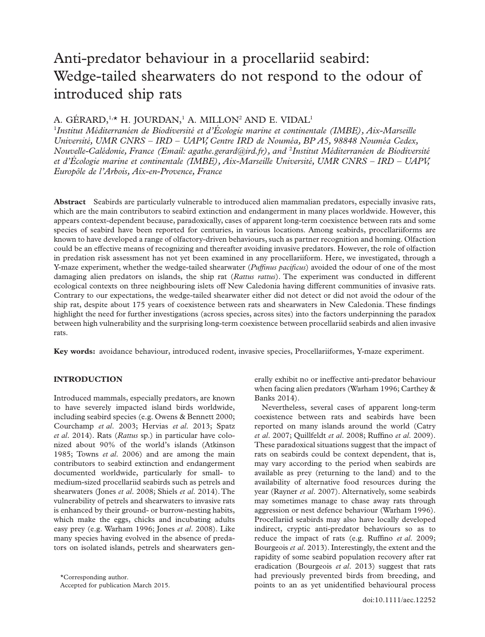## Anti-predator behaviour in a procellariid seabird: Wedge-tailed shearwaters do not respond to the odour of introduced ship rats

### A. GÉRARD,<sup>1,\*</sup> H. JOURDAN,<sup>1</sup> A. MILLON<sup>2</sup> AND E. VIDAL<sup>1</sup>

1 *Institut Méditerranéen de Biodiversité et d'Écologie marine et continentale (IMBE), Aix-Marseille Université, UMR CNRS – IRD – UAPV, Centre IRD de Nouméa, BP A5, 98848 Nouméa Cedex, Nouvelle-Calédonie, France (Email: [agathe.gerard@ird.fr\)](mailto:agathe.gerard@ird.fr), and* <sup>2</sup> *Institut Méditerranéen de Biodiversité et d'Écologie marine et continentale (IMBE), Aix-Marseille Université, UMR CNRS – IRD – UAPV, Europôle de l'Arbois, Aix-en-Provence, France*

**Abstract** Seabirds are particularly vulnerable to introduced alien mammalian predators, especially invasive rats, which are the main contributors to seabird extinction and endangerment in many places worldwide. However, this appears context-dependent because, paradoxically, cases of apparent long-term coexistence between rats and some species of seabird have been reported for centuries, in various locations. Among seabirds, procellariiforms are known to have developed a range of olfactory-driven behaviours, such as partner recognition and homing. Olfaction could be an effective means of recognizing and thereafter avoiding invasive predators. However, the role of olfaction in predation risk assessment has not yet been examined in any procellariiform. Here, we investigated, through a Y-maze experiment, whether the wedge-tailed shearwater (*Puffinus pacificus*) avoided the odour of one of the most damaging alien predators on islands, the ship rat (*Rattus rattus*). The experiment was conducted in different ecological contexts on three neighbouring islets off New Caledonia having different communities of invasive rats. Contrary to our expectations, the wedge-tailed shearwater either did not detect or did not avoid the odour of the ship rat, despite about 175 years of coexistence between rats and shearwaters in New Caledonia. These findings highlight the need for further investigations (across species, across sites) into the factors underpinning the paradox between high vulnerability and the surprising long-term coexistence between procellariid seabirds and alien invasive rats.

**Key words:** avoidance behaviour, introduced rodent, invasive species, Procellariiformes, Y-maze experiment.

### **INTRODUCTION**

Introduced mammals, especially predators, are known to have severely impacted island birds worldwide, including seabird species (e.g. Owens & Bennett 2000; Courchamp *et al*. 2003; Hervias *et al*. 2013; Spatz *et al*. 2014). Rats (*Rattus* sp.) in particular have colonized about 90% of the world's islands (Atkinson 1985; Towns *et al*. 2006) and are among the main contributors to seabird extinction and endangerment documented worldwide, particularly for small- to medium-sized procellariid seabirds such as petrels and shearwaters (Jones *et al*. 2008; Shiels *et al*. 2014). The vulnerability of petrels and shearwaters to invasive rats is enhanced by their ground- or burrow-nesting habits, which make the eggs, chicks and incubating adults easy prey (e.g. Warham 1996; Jones *et al*. 2008). Like many species having evolved in the absence of predators on isolated islands, petrels and shearwaters generally exhibit no or ineffective anti-predator behaviour when facing alien predators (Warham 1996; Carthey & Banks 2014).

Nevertheless, several cases of apparent long-term coexistence between rats and seabirds have been reported on many islands around the world (Catry *et al*. 2007; Quillfeldt *et al*. 2008; Ruffino *et al*. 2009). These paradoxical situations suggest that the impact of rats on seabirds could be context dependent, that is, may vary according to the period when seabirds are available as prey (returning to the land) and to the availability of alternative food resources during the year (Rayner *et al*. 2007). Alternatively, some seabirds may sometimes manage to chase away rats through aggression or nest defence behaviour (Warham 1996). Procellariid seabirds may also have locally developed indirect, cryptic anti-predator behaviours so as to reduce the impact of rats (e.g. Ruffino *et al*. 2009; Bourgeois *et al*. 2013). Interestingly, the extent and the rapidity of some seabird population recovery after rat eradication (Bourgeois *et al*. 2013) suggest that rats had previously prevented birds from breeding, and points to an as yet unidentified behavioural process

<sup>\*</sup>Corresponding author.

Accepted for publication March 2015.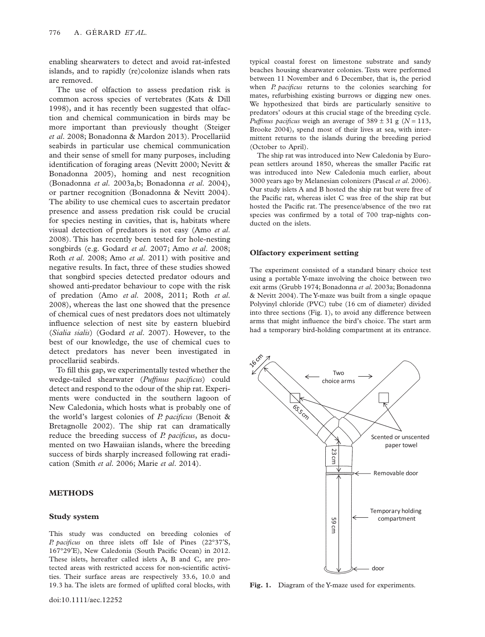enabling shearwaters to detect and avoid rat-infested islands, and to rapidly (re)colonize islands when rats are removed.

The use of olfaction to assess predation risk is common across species of vertebrates (Kats & Dill 1998), and it has recently been suggested that olfaction and chemical communication in birds may be more important than previously thought (Steiger *et al*. 2008; Bonadonna & Mardon 2013). Procellariid seabirds in particular use chemical communication and their sense of smell for many purposes, including identification of foraging areas (Nevitt 2000; Nevitt & Bonadonna 2005), homing and nest recognition (Bonadonna *et al*. 2003a,b; Bonadonna *et al*. 2004), or partner recognition (Bonadonna & Nevitt 2004). The ability to use chemical cues to ascertain predator presence and assess predation risk could be crucial for species nesting in cavities, that is, habitats where visual detection of predators is not easy (Amo *et al*. 2008). This has recently been tested for hole-nesting songbirds (e.g. Godard *et al*. 2007; Amo *et al*. 2008; Roth *et al*. 2008; Amo *et al*. 2011) with positive and negative results. In fact, three of these studies showed that songbird species detected predator odours and showed anti-predator behaviour to cope with the risk of predation (Amo *et al*. 2008, 2011; Roth *et al*. 2008), whereas the last one showed that the presence of chemical cues of nest predators does not ultimately influence selection of nest site by eastern bluebird (*Sialia sialis*) (Godard *et al*. 2007). However, to the best of our knowledge, the use of chemical cues to detect predators has never been investigated in procellariid seabirds.

To fill this gap, we experimentally tested whether the wedge-tailed shearwater (*Puffinus pacificus*) could detect and respond to the odour of the ship rat. Experiments were conducted in the southern lagoon of New Caledonia, which hosts what is probably one of the world's largest colonies of *P. pacificus* (Benoit & Bretagnolle 2002). The ship rat can dramatically reduce the breeding success of *P. pacificus*, as documented on two Hawaiian islands, where the breeding success of birds sharply increased following rat eradication (Smith *et al*. 2006; Marie *et al*. 2014).

#### **METHODS**

#### **Study system**

This study was conducted on breeding colonies of *P. pacificus* on three islets off Isle of Pines (22°37′S, 167°29′E), New Caledonia (South Pacific Ocean) in 2012. These islets, hereafter called islets A, B and C, are protected areas with restricted access for non-scientific activities. Their surface areas are respectively 33.6, 10.0 and 19.3 ha. The islets are formed of uplifted coral blocks, with

typical coastal forest on limestone substrate and sandy beaches housing shearwater colonies. Tests were performed between 11 November and 6 December, that is, the period when *P. pacificus* returns to the colonies searching for mates, refurbishing existing burrows or digging new ones. We hypothesized that birds are particularly sensitive to predators' odours at this crucial stage of the breeding cycle. *Puffinus pacificus* weigh an average of  $389 \pm 31$  g ( $N = 113$ , Brooke 2004), spend most of their lives at sea, with intermittent returns to the islands during the breeding period (October to April).

The ship rat was introduced into New Caledonia by European settlers around 1850, whereas the smaller Pacific rat was introduced into New Caledonia much earlier, about 3000 years ago by Melanesian colonizers (Pascal *et al*. 2006). Our study islets A and B hosted the ship rat but were free of the Pacific rat, whereas islet C was free of the ship rat but hosted the Pacific rat. The presence/absence of the two rat species was confirmed by a total of 700 trap-nights conducted on the islets.

#### **Olfactory experiment setting**

The experiment consisted of a standard binary choice test using a portable Y-maze involving the choice between two exit arms (Grubb 1974; Bonadonna *et al*. 2003a; Bonadonna & Nevitt 2004). The Y-maze was built from a single opaque Polyvinyl chloride (PVC) tube (16 cm of diameter) divided into three sections (Fig. 1), to avoid any difference between arms that might influence the bird's choice. The start arm had a temporary bird-holding compartment at its entrance.



**Fig. 1.** Diagram of the Y-maze used for experiments.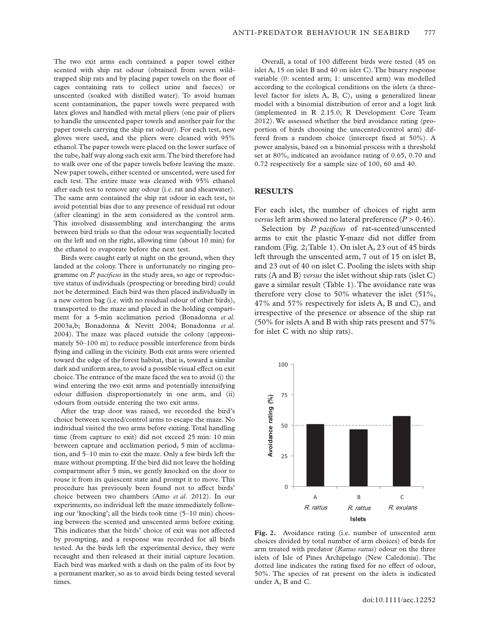The two exit arms each contained a paper towel either scented with ship rat odour (obtained from seven wildtrapped ship rats and by placing paper towels on the floor of cages containing rats to collect urine and faeces) or unscented (soaked with distilled water). To avoid human scent contamination, the paper towels were prepared with latex gloves and handled with metal pliers (one pair of pliers to handle the unscented paper towels and another pair for the paper towels carrying the ship rat odour). For each test, new gloves were used, and the pliers were cleaned with 95% ethanol.The paper towels were placed on the lower surface of the tube, half way along each exit arm.The bird therefore had to walk over one of the paper towels before leaving the maze. New paper towels, either scented or unscented, were used for each test. The entire maze was cleaned with 95% ethanol after each test to remove any odour (i.e. rat and shearwater). The same arm contained the ship rat odour in each test, to avoid potential bias due to any presence of residual rat odour (after cleaning) in the arm considered as the control arm. This involved disassembling and interchanging the arms between bird trials so that the odour was sequentially located on the left and on the right, allowing time (about 10 min) for the ethanol to evaporate before the next test.

Birds were caught early at night on the ground, when they landed at the colony. There is unfortunately no ringing programme on *P. pacificus* in the study area, so age or reproductive status of individuals (prospecting or breeding bird) could not be determined. Each bird was then placed individually in a new cotton bag (i.e. with no residual odour of other birds), transported to the maze and placed in the holding compartment for a 5-min acclimation period (Bonadonna *et al*. 2003a,b; Bonadonna & Nevitt 2004; Bonadonna *et al*. 2004). The maze was placed outside the colony (approximately 50–100 m) to reduce possible interference from birds flying and calling in the vicinity. Both exit arms were oriented toward the edge of the forest habitat, that is, toward a similar dark and uniform area, to avoid a possible visual effect on exit choice.The entrance of the maze faced the sea to avoid (i) the wind entering the two exit arms and potentially intensifying odour diffusion disproportionately in one arm, and (ii) odours from outside entering the two exit arms.

After the trap door was raised, we recorded the bird's choice between scented/control arms to escape the maze. No individual visited the two arms before exiting.Total handling time (from capture to exit) did not exceed 25 min: 10 min between capture and acclimation period, 5 min of acclimation, and 5–10 min to exit the maze. Only a few birds left the maze without prompting. If the bird did not leave the holding compartment after 5 min, we gently knocked on the door to rouse it from its quiescent state and prompt it to move. This procedure has previously been found not to affect birds' choice between two chambers (Amo *et al*. 2012). In our experiments, no individual left the maze immediately following our 'knocking'; all the birds took time (5–10 min) choosing between the scented and unscented arms before exiting. This indicates that the birds' choice of exit was not affected by prompting, and a response was recorded for all birds tested. As the birds left the experimental device, they were recaught and then released at their initial capture location. Each bird was marked with a dash on the palm of its foot by a permanent marker, so as to avoid birds being tested several times.

Overall, a total of 100 different birds were tested (45 on islet A, 15 on islet B and 40 on islet C).The binary response variable (0: scented arm; 1: unscented arm) was modelled according to the ecological conditions on the islets (a threelevel factor for islets A, B, C), using a generalized linear model with a binomial distribution of error and a logit link (implemented in R 2.15.0; R Development Core Team 2012). We assessed whether the bird avoidance rating (proportion of birds choosing the unscented/control arm) differed from a random choice (intercept fixed at 50%). A power analysis, based on a binomial process with a threshold set at 80%, indicated an avoidance rating of 0.65, 0.70 and 0.72 respectively for a sample size of 100, 60 and 40.

#### **RESULTS**

For each islet, the number of choices of right arm *versus* left arm showed no lateral preference  $(P > 0.46)$ .

Selection by *P. pacificus* of rat-scented/unscented arms to exit the plastic Y-maze did not differ from random (Fig. 2;Table 1). On islet A, 23 out of 45 birds left through the unscented arm, 7 out of 15 on islet B, and 23 out of 40 on islet C. Pooling the islets with ship rats (A and B) *versus* the islet without ship rats (islet C) gave a similar result (Table 1).The avoidance rate was therefore very close to 50% whatever the islet (51%, 47% and 57% respectively for islets A, B and C), and irrespective of the presence or absence of the ship rat (50% for islets A and B with ship rats present and 57% for islet C with no ship rats).



Fig. 2. Avoidance rating (i.e. number of unscented arm choices divided by total number of arm choices) of birds for arm treated with predator (*Rattus rattus*) odour on the three islets of Isle of Pines Archipelago (New Caledonia). The dotted line indicates the rating fixed for no effect of odour, 50%. The species of rat present on the islets is indicated under A, B and C.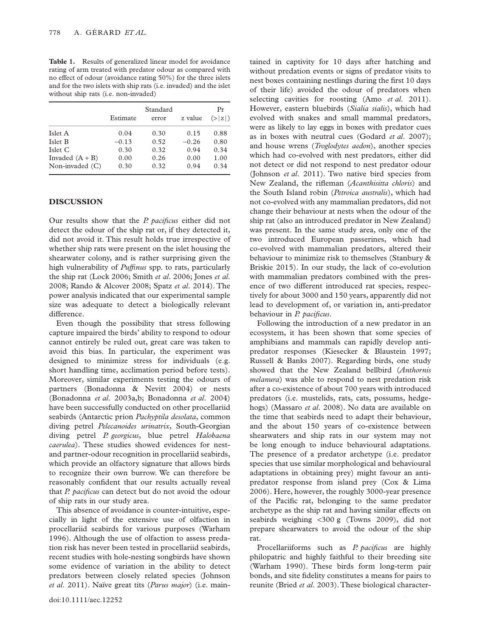**Table 1.** Results of generalized linear model for avoidance rating of arm treated with predator odour as compared with no effect of odour (avoidance rating 50%) for the three islets and for the two islets with ship rats (i.e. invaded) and the islet without ship rats (i.e. non-invaded)

|                   | Estimate | Standard<br>error | z value | Pr<br>(> z ) |
|-------------------|----------|-------------------|---------|--------------|
| Islet A           | 0.04     | 0.30              | 0.15    | 0.88         |
| Islet B           | $-0.13$  | 0.52              | $-0.26$ | 0.80         |
| Islet C           | 0.30     | 0.32              | 0.94    | 0.34         |
| Invaded $(A + B)$ | 0.00     | 0.26              | 0.00    | 1.00         |
| Non-invaded $(C)$ | 0.30     | 0.32              | 0.94    | 0.34         |

#### **DISCUSSION**

Our results show that the *P. pacificus* either did not detect the odour of the ship rat or, if they detected it, did not avoid it. This result holds true irrespective of whether ship rats were present on the islet housing the shearwater colony, and is rather surprising given the high vulnerability of *Puffinus* spp. to rats, particularly the ship rat (Lock 2006; Smith *et al*. 2006; Jones *et al*. 2008; Rando & Alcover 2008; Spatz *et al*. 2014). The power analysis indicated that our experimental sample size was adequate to detect a biologically relevant difference.

Even though the possibility that stress following capture impaired the birds' ability to respond to odour cannot entirely be ruled out, great care was taken to avoid this bias. In particular, the experiment was designed to minimize stress for individuals (e.g. short handling time, acclimation period before tests). Moreover, similar experiments testing the odours of partners (Bonadonna & Nevitt 2004) or nests (Bonadonna *et al*. 2003a,b; Bonadonna *et al*. 2004) have been successfully conducted on other procellariid seabirds (Antarctic prion *Pachyptila desolata*, common diving petrel *Pelecanoides urinatrix*, South-Georgian diving petrel *P. georgicus*, blue petrel *Halobaena caerulea*). These studies showed evidences for nestand partner-odour recognition in procellariid seabirds, which provide an olfactory signature that allows birds to recognize their own burrow. We can therefore be reasonably confident that our results actually reveal that *P. pacificus* can detect but do not avoid the odour of ship rats in our study area.

This absence of avoidance is counter-intuitive, especially in light of the extensive use of olfaction in procellariid seabirds for various purposes (Warham 1996). Although the use of olfaction to assess predation risk has never been tested in procellariid seabirds, recent studies with hole-nesting songbirds have shown some evidence of variation in the ability to detect predators between closely related species (Johnson *et al*. 2011). Naïve great tits (*Parus major*) (i.e. main-

 $doi:10.1111/aec.12252$ 

tained in captivity for 10 days after hatching and without predation events or signs of predator visits to nest boxes containing nestlings during the first 10 days of their life) avoided the odour of predators when selecting cavities for roosting (Amo *et al*. 2011). However, eastern bluebirds (*Sialia sialis*), which had evolved with snakes and small mammal predators, were as likely to lay eggs in boxes with predator cues as in boxes with neutral cues (Godard *et al*. 2007); and house wrens (*Troglodytes aedon*), another species which had co-evolved with nest predators, either did not detect or did not respond to nest predator odour (Johnson *et al*. 2011). Two native bird species from New Zealand, the rifleman (*Acanthisitta chloris*) and the South Island robin (*Petroica australis*), which had not co-evolved with any mammalian predators, did not change their behaviour at nests when the odour of the ship rat (also an introduced predator in New Zealand) was present. In the same study area, only one of the two introduced European passerines, which had co-evolved with mammalian predators, altered their behaviour to minimize risk to themselves (Stanbury & Briskie 2015). In our study, the lack of co-evolution with mammalian predators combined with the presence of two different introduced rat species, respectively for about 3000 and 150 years, apparently did not lead to development of, or variation in, anti-predator behaviour in *P. pacificus*.

Following the introduction of a new predator in an ecosystem, it has been shown that some species of amphibians and mammals can rapidly develop antipredator responses (Kiesecker & Blaustein 1997; Russell & Banks 2007). Regarding birds, one study showed that the New Zealand bellbird (*Anthornis melanura*) was able to respond to nest predation risk after a co-existence of about 700 years with introduced predators (i.e. mustelids, rats, cats, possums, hedgehogs) (Massaro *et al*. 2008). No data are available on the time that seabirds need to adapt their behaviour, and the about 150 years of co-existence between shearwaters and ship rats in our system may not be long enough to induce behavioural adaptations. The presence of a predator archetype (i.e. predator species that use similar morphological and behavioural adaptations in obtaining prey) might favour an antipredator response from island prey (Cox & Lima 2006). Here, however, the roughly 3000-year presence of the Pacific rat, belonging to the same predator archetype as the ship rat and having similar effects on seabirds weighing <300 g (Towns 2009), did not prepare shearwaters to avoid the odour of the ship rat.

Procellariiforms such as *P. pacificus* are highly philopatric and highly faithful to their breeding site (Warham 1990). These birds form long-term pair bonds, and site fidelity constitutes a means for pairs to reunite (Bried *et al*. 2003).These biological character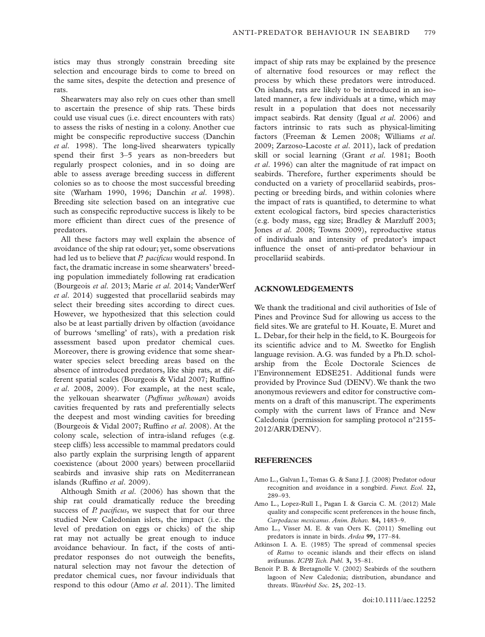istics may thus strongly constrain breeding site selection and encourage birds to come to breed on the same sites, despite the detection and presence of rats.

Shearwaters may also rely on cues other than smell to ascertain the presence of ship rats. These birds could use visual cues (i.e. direct encounters with rats) to assess the risks of nesting in a colony. Another cue might be conspecific reproductive success (Danchin *et al*. 1998). The long-lived shearwaters typically spend their first 3–5 years as non-breeders but regularly prospect colonies, and in so doing are able to assess average breeding success in different colonies so as to choose the most successful breeding site (Warham 1990, 1996; Danchin *et al*. 1998). Breeding site selection based on an integrative cue such as conspecific reproductive success is likely to be more efficient than direct cues of the presence of predators.

All these factors may well explain the absence of avoidance of the ship rat odour; yet, some observations had led us to believe that *P. pacificus* would respond. In fact, the dramatic increase in some shearwaters' breeding population immediately following rat eradication (Bourgeois *et al*. 2013; Marie *et al*. 2014; VanderWerf *et al*. 2014) suggested that procellariid seabirds may select their breeding sites according to direct cues. However, we hypothesized that this selection could also be at least partially driven by olfaction (avoidance of burrows 'smelling' of rats), with a predation risk assessment based upon predator chemical cues. Moreover, there is growing evidence that some shearwater species select breeding areas based on the absence of introduced predators, like ship rats, at different spatial scales (Bourgeois & Vidal 2007; Ruffino *et al*. 2008, 2009). For example, at the nest scale, the yelkouan shearwater (*Puffinus yelkouan*) avoids cavities frequented by rats and preferentially selects the deepest and most winding cavities for breeding (Bourgeois & Vidal 2007; Ruffino *et al*. 2008). At the colony scale, selection of intra-island refuges (e.g. steep cliffs) less accessible to mammal predators could also partly explain the surprising length of apparent coexistence (about 2000 years) between procellariid seabirds and invasive ship rats on Mediterranean islands (Ruffino *et al*. 2009).

Although Smith *et al*. (2006) has shown that the ship rat could dramatically reduce the breeding success of *P. pacificus*, we suspect that for our three studied New Caledonian islets, the impact (i.e. the level of predation on eggs or chicks) of the ship rat may not actually be great enough to induce avoidance behaviour. In fact, if the costs of antipredator responses do not outweigh the benefits, natural selection may not favour the detection of predator chemical cues, nor favour individuals that respond to this odour (Amo *et al*. 2011). The limited

impact of ship rats may be explained by the presence of alternative food resources or may reflect the process by which these predators were introduced. On islands, rats are likely to be introduced in an isolated manner, a few individuals at a time, which may result in a population that does not necessarily impact seabirds. Rat density (Igual *et al*. 2006) and factors intrinsic to rats such as physical-limiting factors (Freeman & Lemen 2008; Williams *et al*. 2009; Zarzoso-Lacoste *et al*. 2011), lack of predation skill or social learning (Grant *et al*. 1981; Booth *et al*. 1996) can alter the magnitude of rat impact on seabirds. Therefore, further experiments should be conducted on a variety of procellariid seabirds, prospecting or breeding birds, and within colonies where the impact of rats is quantified, to determine to what extent ecological factors, bird species characteristics (e.g. body mass, egg size; Bradley & Marzluff 2003; Jones *et al*. 2008; Towns 2009), reproductive status of individuals and intensity of predator's impact influence the onset of anti-predator behaviour in procellariid seabirds.

#### **ACKNOWLEDGEMENTS**

We thank the traditional and civil authorities of Isle of Pines and Province Sud for allowing us access to the field sites.We are grateful to H. Kouate, E. Muret and L. Debar, for their help in the field, to K. Bourgeois for its scientific advice and to M. Sweetko for English language revision. A.G. was funded by a Ph.D. scholarship from the École Doctorale Sciences de l'Environnement EDSE251. Additional funds were provided by Province Sud (DENV).We thank the two anonymous reviewers and editor for constructive comments on a draft of this manuscript. The experiments comply with the current laws of France and New Caledonia (permission for sampling protocol n°2155- 2012/ARR/DENV).

#### **REFERENCES**

- Amo L., Galvan I., Tomas G. & Sanz J. J. (2008) Predator odour recognition and avoidance in a songbird. *Funct. Ecol.* **22,** 289–93.
- Amo L., Lopez-Rull I., Pagan I. & Garcia C. M. (2012) Male quality and conspecific scent preferences in the house finch, *Carpodacus mexicanus*. *Anim. Behav.* **84,** 1483–9.
- Amo L., Visser M. E. & van Oers K. (2011) Smelling out predators is innate in birds. *Ardea* **99,** 177–84.
- Atkinson I. A. E. (1985) The spread of commensal species of *Rattus* to oceanic islands and their effects on island avifaunas. *ICPB Tech. Publ.* **3,** 35–81.
- Benoit P. B. & Bretagnolle V. (2002) Seabirds of the southern lagoon of New Caledonia; distribution, abundance and threats. *Waterbird Soc.* **25,** 202–13.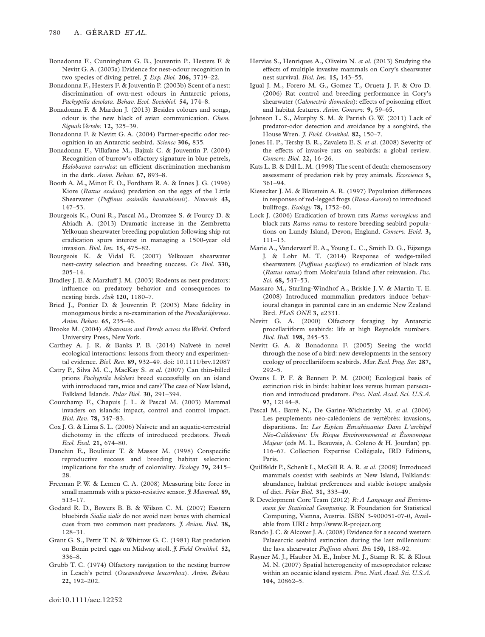- Bonadonna F., Cunningham G. B., Jouventin P., Hesters F. & Nevitt G. A. (2003a) Evidence for nest-odour recognition in two species of diving petrel. *J. Exp. Biol.* **206,** 3719–22.
- Bonadonna F., Hesters F. & Jouventin P. (2003b) Scent of a nest: discrimination of own-nest odours in Antarctic prions, *Pachyptila desolata*. *Behav. Ecol. Sociobiol.* **54,** 174–8.
- Bonadonna F. & Mardon J. (2013) Besides colours and songs, odour is the new black of avian communication. *Chem. SignalsVertebr.* **12,** 325–39.
- Bonadonna F. & Nevitt G. A. (2004) Partner-specific odor recognition in an Antarctic seabird. *Science* **306,** 835.
- Bonadonna F., Villafane M., Bajzak C. & Jouventin P. (2004) Recognition of burrow's olfactory signature in blue petrels, *Halobaena caerulea*: an efficient discrimination mechanism in the dark. *Anim. Behav.* **67,** 893–8.
- Booth A. M., Minot E. O., Fordham R. A. & Innes J. G. (1996) Kiore (*Rattus exulans*) predation on the eggs of the Little Shearwater (*Puffinus assimilis haurakiensis*). *Notornis* **43,** 147–53.
- Bourgeois K., Ouni R., Pascal M., Dromzee S. & Fourcy D. & Abiadh A. (2013) Dramatic increase in the Zembretta Yelkouan shearwater breeding population following ship rat eradication spurs interest in managing a 1500-year old invasion. *Biol. Inv.* **15,** 475–82.
- Bourgeois K. & Vidal E. (2007) Yelkouan shearwater nest-cavity selection and breeding success. *Cr. Biol.* **330,** 205–14.
- Bradley J. E. & Marzluff J. M. (2003) Rodents as nest predators: influence on predatory behavior and consequences to nesting birds. *Auk* **120,** 1180–7.
- Bried J., Pontier D. & Jouventin P. (2003) Mate fidelity in monogamous birds: a re-examination of the *Procellariiformes*. *Anim. Behav.* **65,** 235–46.
- Brooke M. (2004) *Albatrosses and Petrels across theWorld*. Oxford University Press, New York.
- Carthey A. J. R. & Banks P. B. (2014) Naïveté in novel ecological interactions: lessons from theory and experimental evidence. *Biol. Rev.* **89,** 932–49. doi: 10.1111/brv.12087
- Catry P., Silva M. C., MacKay S. *et al*. (2007) Can thin-billed prions *Pachyptila belcheri* breed successfully on an island with introduced rats, mice and cats?The case of New Island, Falkland Islands. *Polar Biol.* **30,** 291–394.
- Courchamp F., Chapuis J. L. & Pascal M. (2003) Mammal invaders on islands: impact, control and control impact. *Biol. Rev.* **78,** 347–83.
- Cox J. G. & Lima S. L. (2006) Naivete and an aquatic-terrestrial dichotomy in the effects of introduced predators. *Trends Ecol. Evol.* **21,** 674–80.
- Danchin E., Boulinier T. & Massot M. (1998) Conspecific reproductive success and breeding habitat selection: implications for the study of coloniality. *Ecology* **79,** 2415– 28.
- Freeman P. W. & Lemen C. A. (2008) Measuring bite force in small mammals with a piezo-resistive sensor. *J.Mammal.* **89,** 513–17.
- Godard R. D., Bowers B. B. & Wilson C. M. (2007) Eastern bluebirds *Sialia sialis* do not avoid nest boxes with chemical cues from two common nest predators. *J. Avian. Biol.* **38,** 128–31.
- Grant G. S., Pettit T. N. & Whittow G. C. (1981) Rat predation on Bonin petrel eggs on Midway atoll. *J. Field Ornithol.* **52,** 336–8.
- Grubb T. C. (1974) Olfactory navigation to the nesting burrow in Leach's petrel (*Oceanodroma leucorrhoa*). *Anim. Behav.* **22,** 192–202.
- Hervias S., Henriques A., Oliveira N. *et al*. (2013) Studying the effects of multiple invasive mammals on Cory's shearwater nest survival. *Biol. Inv.* **15,** 143–55.
- Igual J. M., Forero M. G., Gomez T., Orueta J. F. & Oro D. (2006) Rat control and breeding performance in Cory's shearwater (*Calonectris diomedea*): effects of poisoning effort and habitat features. *Anim. Conserv.* **9,** 59–65.
- Johnson L. S., Murphy S. M. & Parrish G. W. (2011) Lack of predator-odor detection and avoidance by a songbird, the House Wren. *J. Field. Ornithol.* **82,** 150–7.
- Jones H. P., Tershy B. R., Zavaleta E. S. *et al*. (2008) Severity of the effects of invasive rats on seabirds: a global review. *Conserv. Biol.* **22,** 16–26.
- Kats L. B. & Dill L. M. (1998) The scent of death: chemosensory assessment of predation risk by prey animals. *Ecoscience* **5,** 361–94.
- Kiesecker J. M. & Blaustein A. R. (1997) Population differences in responses of red-legged frogs (*Rana Aurora*) to introduced bullfrogs. *Ecology* **78,** 1752–60.
- Lock J. (2006) Eradication of brown rats *Rattus norvegicus* and black rats *Rattus rattus* to restore breeding seabird populations on Lundy Island, Devon, England. *Conserv. Evid.* **3,** 111–13.
- Marie A., Vanderwerf E. A., Young L. C., Smith D. G., Eijzenga J. & Lohr M. T. (2014) Response of wedge-tailed shearwaters (*Puffinus pacificus*) to eradication of black rats (*Rattus rattus*) from Moku'auia Island after reinvasion. *Pac. Sci.* **68,** 547–53.
- Massaro M., Starling-Windhof A., Briskie J. V. & Martin T. E. (2008) Introduced mammalian predators induce behavioural changes in parental care in an endemic New Zealand Bird. *PLoS ONE* **3,** e2331.
- Nevitt G. A. (2000) Olfactory foraging by Antarctic procellariiform seabirds: life at high Reynolds numbers. *Biol. Bull.* **198,** 245–53.
- Nevitt G. A. & Bonadonna F. (2005) Seeing the world through the nose of a bird: new developments in the sensory ecology of procellariiform seabirds. *Mar. Ecol. Prog. Ser.* **287,** 292–5.
- Owens I. P. F. & Bennett P. M. (2000) Ecological basis of extinction risk in birds: habitat loss versus human persecution and introduced predators. *Proc. Natl. Acad. Sci. U.S.A.* **97,** 12144–8.
- Pascal M., Barré N., De Garine-Wichatitsky M. *et al*. (2006) Les peuplements néo-calédoniens de vertébrés: invasions, disparitions. In: *Les Espèces Envahissantes Dans L'archipel Néo-Calédonien: Un Risque Environnemental et Économique Majeur* (eds M. L. Beauvais, A. Coleno & H. Jourdan) pp. 116–67. Collection Expertise Collégiale, IRD Editions, Paris.
- Quillfeldt P., Schenk I., McGill R. A. R. *et al*. (2008) Introduced mammals coexist with seabirds at New Island, Falklands: abundance, habitat preferences and stable isotope analysis of diet. *Polar Biol.* **31,** 333–49.
- R Development Core Team (2012) *R: A Language and Environment for Statistical Computing*. R Foundation for Statistical Computing, Vienna, Austria. ISBN 3-900051-07-0, Available from URL:<http://www.R-project.org>
- Rando J. C. & Alcover J. A. (2008) Evidence for a second western Palaearctic seabird extinction during the last millennium: the lava shearwater *Puffinus olsoni*. *Ibis* **150,** 188–92.
- Rayner M. J., Hauber M. E., Imber M. J., Stamp R. K. & Klout M. N. (2007) Spatial heterogeneity of mesopredator release within an oceanic island system. *Proc. Natl.Acad. Sci. U.S.A.* **104,** 20862–5.